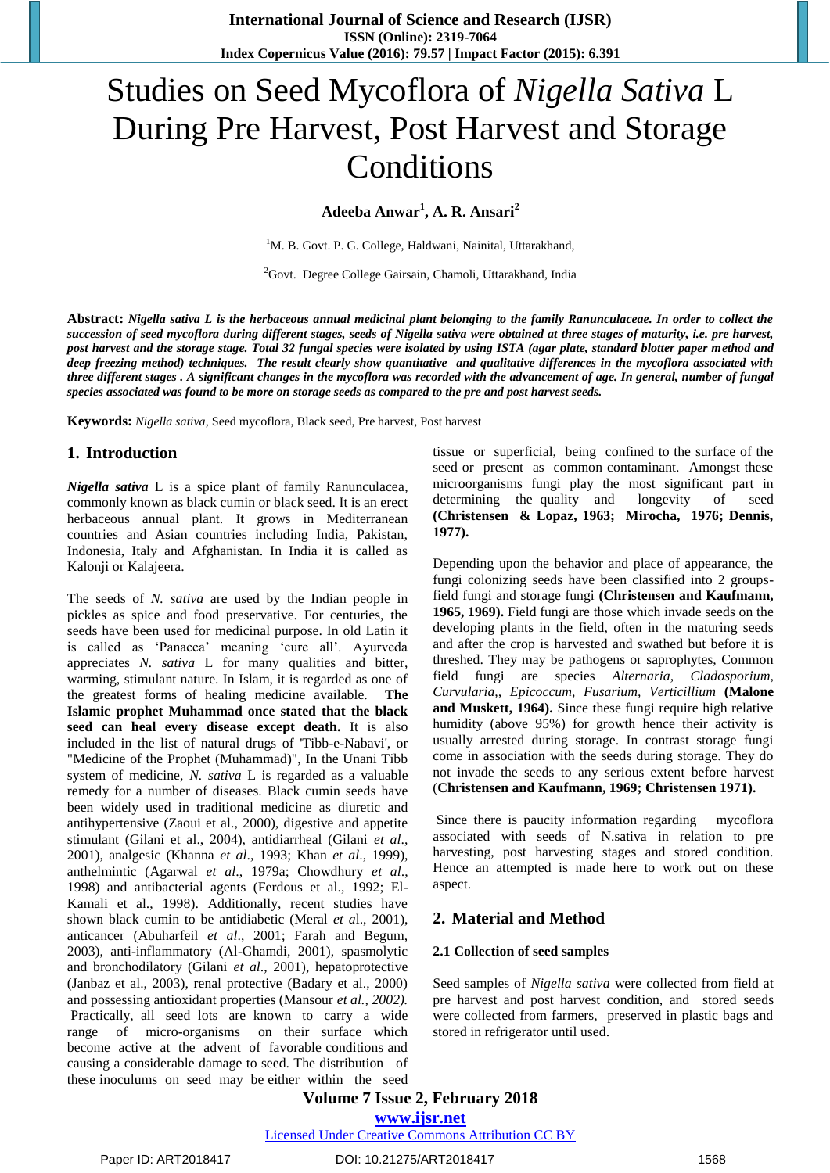**International Journal of Science and Research (IJSR) ISSN (Online): 2319-7064 Index Copernicus Value (2016): 79.57 | Impact Factor (2015): 6.391**

# Studies on Seed Mycoflora of *Nigella Sativa* L During Pre Harvest, Post Harvest and Storage Conditions

**Adeeba Anwar<sup>1</sup> , A. R. Ansari<sup>2</sup>**

<sup>1</sup>M. B. Govt. P. G. College, Haldwani, Nainital, Uttarakhand,

<sup>2</sup>Govt. Degree College Gairsain, Chamoli, Uttarakhand, India

**Abstract:** *Nigella sativa L is the herbaceous annual medicinal plant belonging to the family Ranunculaceae. In order to collect the succession of seed mycoflora during different stages, seeds of Nigella sativa were obtained at three stages of maturity, i.e. pre harvest, post harvest and the storage stage. Total 32 fungal species were isolated by using ISTA (agar plate, standard blotter paper method and deep freezing method) techniques. The result clearly show quantitative and qualitative differences in the mycoflora associated with three different stages . A significant changes in the mycoflora was recorded with the advancement of age. In general, number of fungal species associated was found to be more on storage seeds as compared to the pre and post harvest seeds.*

**Keywords:** *Nigella sativa*, Seed mycoflora, Black seed, Pre harvest, Post harvest

#### **1. Introduction**

*Nigella sativa* L is a spice plant of family Ranunculacea, commonly known as black cumin or black seed. It is an erect herbaceous annual plant. It grows in Mediterranean countries and Asian countries including India, Pakistan, Indonesia, Italy and Afghanistan. In India it is called as Kalonji or Kalajeera.

The seeds of *N. sativa* are used by the Indian people in pickles as spice and food preservative. For centuries, the seeds have been used for medicinal purpose. In old Latin it is called as 'Panacea' meaning 'cure all'. Ayurveda appreciates *N. sativa* L for many qualities and bitter, warming, stimulant nature. In Islam, it is regarded as one of the greatest forms of healing medicine available. **The Islamic prophet Muhammad once stated that the black seed can heal every disease except death.** It is also included in the list of natural drugs of 'Tibb-e-Nabavi', or "Medicine of the Prophet (Muhammad)", In the Unani Tibb system of medicine, *N. sativa* L is regarded as a valuable remedy for a number of diseases. Black cumin seeds have been widely used in traditional medicine as diuretic and antihypertensive (Zaoui et al., 2000), digestive and appetite stimulant (Gilani et al., 2004), antidiarrheal (Gilani *et al*., 2001), analgesic (Khanna *et al*., 1993; Khan *et al*., 1999), anthelmintic (Agarwal *et al*., 1979a; Chowdhury *et al*., 1998) and antibacterial agents (Ferdous et al., 1992; El-Kamali et al., 1998). Additionally, recent studies have shown black cumin to be antidiabetic (Meral *et a*l., 2001), anticancer (Abuharfeil *et al*., 2001; Farah and Begum, 2003), anti-inflammatory (Al-Ghamdi, 2001), spasmolytic and bronchodilatory (Gilani *et al*., 2001), hepatoprotective (Janbaz et al., 2003), renal protective (Badary et al., 2000) and possessing antioxidant properties (Mansour *et al., 2002).*  Practically, all seed lots are known to carry a wide range of micro-organisms on their surface which become active at the advent of favorable conditions and causing a considerable damage to seed. The distribution of these inoculums on seed may be either within the seed tissue or superficial, being confined to the surface of the seed or present as common contaminant. Amongst these microorganisms fungi play the most significant part in determining the quality and longevity of seed **(Christensen & Lopaz, 1963; Mirocha, 1976; Dennis, 1977).**

Depending upon the behavior and place of appearance, the fungi colonizing seeds have been classified into 2 groupsfield fungi and storage fungi **(Christensen and Kaufmann, 1965, 1969).** Field fungi are those which invade seeds on the developing plants in the field, often in the maturing seeds and after the crop is harvested and swathed but before it is threshed. They may be pathogens or saprophytes, Common field fungi are species *Alternaria, Cladosporium, Curvularia,, Epicoccum, Fusarium, Verticillium* **(Malone and Muskett, 1964).** Since these fungi require high relative humidity (above 95%) for growth hence their activity is usually arrested during storage. In contrast storage fungi come in association with the seeds during storage. They do not invade the seeds to any serious extent before harvest (**Christensen and Kaufmann, 1969; Christensen 1971).** 

Since there is paucity information regarding mycoflora associated with seeds of N.sativa in relation to pre harvesting, post harvesting stages and stored condition. Hence an attempted is made here to work out on these aspect.

## **2. Material and Method**

#### **2.1 Collection of seed samples**

Seed samples of *Nigella sativa* were collected from field at pre harvest and post harvest condition, and stored seeds were collected from farmers, preserved in plastic bags and stored in refrigerator until used.

**Volume 7 Issue 2, February 2018**

**<www.ijsr.net>**

[Licensed Under Creative Commons Attribution CC BY](http://creativecommons.org/licenses/by/4.0/)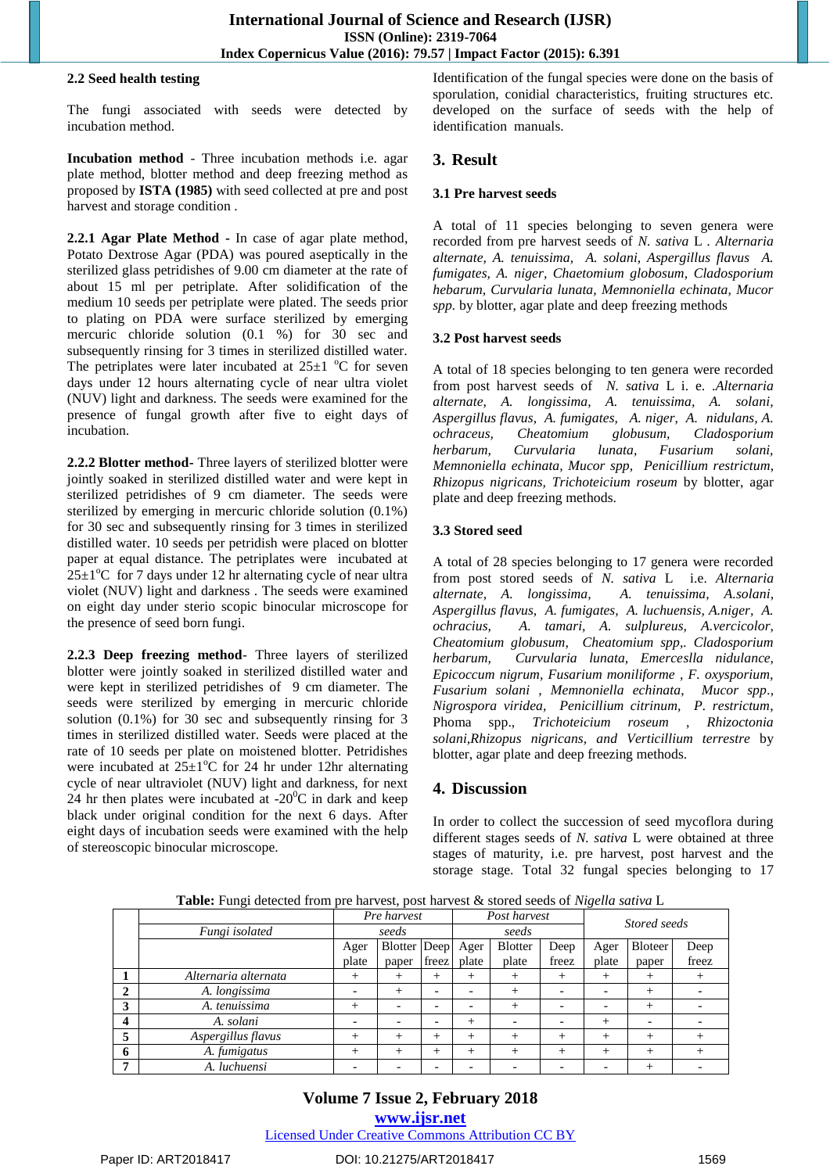#### **2.2 Seed health testing**

The fungi associated with seeds were detected by incubation method.

**Incubation method** - Three incubation methods i.e. agar plate method, blotter method and deep freezing method as proposed by **ISTA (1985)** with seed collected at pre and post harvest and storage condition .

**2.2.1 Agar Plate Method -** In case of agar plate method, Potato Dextrose Agar (PDA) was poured aseptically in the sterilized glass petridishes of 9.00 cm diameter at the rate of about 15 ml per petriplate. After solidification of the medium 10 seeds per petriplate were plated. The seeds prior to plating on PDA were surface sterilized by emerging mercuric chloride solution (0.1 %) for 30 sec and subsequently rinsing for 3 times in sterilized distilled water. The petriplates were later incubated at  $25\pm1$  °C for seven days under 12 hours alternating cycle of near ultra violet (NUV) light and darkness. The seeds were examined for the presence of fungal growth after five to eight days of incubation.

**2.2.2 Blotter method-** Three layers of sterilized blotter were jointly soaked in sterilized distilled water and were kept in sterilized petridishes of 9 cm diameter. The seeds were sterilized by emerging in mercuric chloride solution (0.1%) for 30 sec and subsequently rinsing for 3 times in sterilized distilled water. 10 seeds per petridish were placed on blotter paper at equal distance. The petriplates were incubated at  $25\pm1\textsuperscript{o}$  for 7 days under 12 hr alternating cycle of near ultra violet (NUV) light and darkness . The seeds were examined on eight day under sterio scopic binocular microscope for the presence of seed born fungi.

**2.2.3 Deep freezing method**- Three layers of sterilized blotter were jointly soaked in sterilized distilled water and were kept in sterilized petridishes of 9 cm diameter. The seeds were sterilized by emerging in mercuric chloride solution (0.1%) for 30 sec and subsequently rinsing for 3 times in sterilized distilled water. Seeds were placed at the rate of 10 seeds per plate on moistened blotter. Petridishes were incubated at  $25\pm1\textsuperscript{o}$ C for 24 hr under 12hr alternating cycle of near ultraviolet (NUV) light and darkness, for next 24 hr then plates were incubated at  $-20^{\circ}$ C in dark and keep black under original condition for the next 6 days. After eight days of incubation seeds were examined with the help of stereoscopic binocular microscope.

Identification of the fungal species were done on the basis of sporulation, conidial characteristics, fruiting structures etc. developed on the surface of seeds with the help of identification manuals.

## **3. Result**

#### **3.1 Pre harvest seeds**

A total of 11 species belonging to seven genera were recorded from pre harvest seeds of *N. sativa* L *. Alternaria alternate, A. tenuissima, A. solani, Aspergillus flavus A. fumigates, A. niger, Chaetomium globosum, Cladosporium hebarum, Curvularia lunata, Memnoniella echinata, Mucor spp.* by blotter, agar plate and deep freezing methods

## **3.2 Post harvest seeds**

A total of 18 species belonging to ten genera were recorded from post harvest seeds of *N. sativa* L i. e. .*Alternaria alternate, A. longissima, A. tenuissima, A. solani, Aspergillus flavus, A. fumigates, A. niger, A. nidulans, A. ochraceus, Cheatomium globusum, Cladosporium herbarum, Curvularia lunata, Fusarium solani, Memnoniella echinata, Mucor spp, Penicillium restrictum, Rhizopus nigricans, Trichoteicium roseum* by blotter, agar plate and deep freezing methods.

#### **3.3 Stored seed**

A total of 28 species belonging to 17 genera were recorded from post stored seeds of *N. sativa* L i.e. *Alternaria alternate, A. longissima, A. tenuissima, A.solani, Aspergillus flavus, A. fumigates, A. luchuensis, A.niger, A. ochracius, A. tamari, A. sulplureus, A.vercicolor, Cheatomium globusum, Cheatomium spp,. Cladosporium herbarum, Curvularia lunata, Emerceslla nidulance, Epicoccum nigrum, Fusarium moniliforme , F. oxysporium, Fusarium solani , Memnoniella echinata, Mucor spp., Nigrospora viridea, Penicillium citrinum, P. restrictum*, Phoma spp., *Trichoteicium roseum , Rhizoctonia solani,Rhizopus nigricans, and Verticillium terrestre* by blotter, agar plate and deep freezing methods.

## **4. Discussion**

In order to collect the succession of seed mycoflora during different stages seeds of *N. sativa* L were obtained at three stages of maturity, i.e. pre harvest, post harvest and the storage stage. Total 32 fungal species belonging to 17

|   |                      | Pre harvest<br>seeds     |              |      | Post harvest<br>seeds |                |       | Stored seeds |                |       |
|---|----------------------|--------------------------|--------------|------|-----------------------|----------------|-------|--------------|----------------|-------|
|   | Fungi isolated       |                          |              |      |                       |                |       |              |                |       |
|   |                      | Ager                     | Blotter Deep |      | Ager                  | <b>Blotter</b> | Deep  | Ager         | <b>Bloteer</b> | Deep  |
|   |                      | plate                    | paper        |      | freez plate           | plate          | freez | plate        | paper          | freez |
|   | Alternaria alternata | $^+$                     |              | ÷    | $^+$                  |                |       | $\pm$        | $^+$           |       |
|   | A. longissima        |                          |              | ۰    |                       |                |       |              | $^{+}$         |       |
|   | A. tenuissima        | $^+$                     |              | -    |                       |                |       |              | $^+$           |       |
|   | A. solani            | $\overline{\phantom{0}}$ |              | ۰    | $^{+}$                |                |       | $^{+}$       |                |       |
|   | Aspergillus flavus   | $^{+}$                   |              | $^+$ | $^{+}$                |                | $^+$  |              | $^{+}$         |       |
|   | A. fumigatus         | $^+$                     |              |      | $^+$                  |                | $^+$  | $^+$         | $^{+}$         |       |
| - | A. luchuensi         |                          |              |      |                       |                |       |              | $^+$           |       |

**Table:** Fungi detected from pre harvest, post harvest & stored seeds of *Nigella sativa* L

# **Volume 7 Issue 2, February 2018 <www.ijsr.net>**

[Licensed Under Creative Commons Attribution CC BY](http://creativecommons.org/licenses/by/4.0/)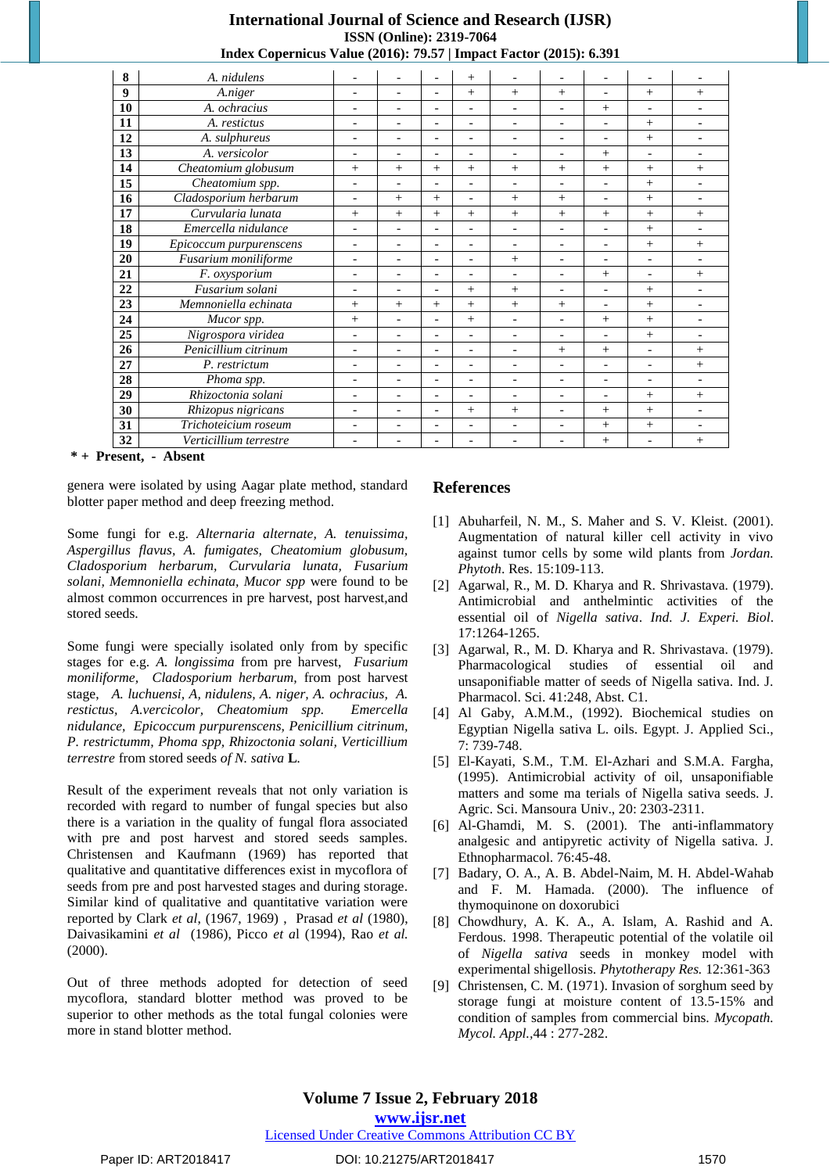## **International Journal of Science and Research (IJSR) ISSN (Online): 2319-7064 Index Copernicus Value (2016): 79.57 | Impact Factor (2015): 6.391**

| 8  | A. nidulens             | $\overline{\phantom{a}}$ |                          | $\overline{\phantom{a}}$ | $+$                      |                          | ÷                        |                          |                          |                          |
|----|-------------------------|--------------------------|--------------------------|--------------------------|--------------------------|--------------------------|--------------------------|--------------------------|--------------------------|--------------------------|
| 9  | A.niger                 | $\overline{\phantom{a}}$ | $\overline{\phantom{a}}$ | $\overline{\phantom{a}}$ | $+$                      | $+$                      | $+$                      | $\overline{\phantom{a}}$ | $+$                      | $+$                      |
| 10 | A. ochracius            | $\overline{\phantom{a}}$ | $\overline{\phantom{a}}$ | $\overline{\phantom{0}}$ | ÷,                       | $\overline{\phantom{a}}$ | $\overline{a}$           | $+$                      | $\overline{\phantom{a}}$ | $\overline{a}$           |
| 11 | A. restictus            | ÷,                       | $\overline{\phantom{a}}$ | $\overline{\phantom{a}}$ | ÷,                       | $\overline{\phantom{a}}$ | $\overline{a}$           | ÷,                       | $+$                      | $\overline{\phantom{a}}$ |
| 12 | A. sulphureus           | ÷,                       | $\overline{\phantom{a}}$ | $\overline{\phantom{0}}$ | $\overline{\phantom{m}}$ | $\overline{\phantom{a}}$ | $\qquad \qquad -$        | $\overline{\phantom{0}}$ | $+$                      | $\overline{\phantom{a}}$ |
| 13 | A. versicolor           | ÷,                       | $\overline{\phantom{a}}$ | $\overline{\phantom{a}}$ | $\overline{\phantom{a}}$ | $\overline{\phantom{a}}$ | $\qquad \qquad -$        | $+$                      | $\overline{\phantom{a}}$ | ۰                        |
| 14 | Cheatomium globusum     | $^{+}$                   | $+$                      | $^{+}$                   | $^{+}$                   | $+$                      | $^{+}$                   | $^{+}$                   | $^{+}$                   | $^{+}$                   |
| 15 | Cheatomium spp.         | $\overline{\phantom{a}}$ | $\overline{\phantom{a}}$ | $\overline{\phantom{a}}$ | $\overline{\phantom{m}}$ | $\overline{\phantom{a}}$ | $\overline{a}$           | $\overline{\phantom{a}}$ | $+$                      | $\overline{\phantom{a}}$ |
| 16 | Cladosporium herbarum   | $\overline{\phantom{a}}$ | $+$                      | $+$                      | $\overline{\phantom{m}}$ | $+$                      | $+$                      | $\overline{\phantom{a}}$ | $+$                      | $\overline{\phantom{a}}$ |
| 17 | Curvularia lunata       | $^{+}$                   | $+$                      | $^{+}$                   | $+$                      | $+$                      | $^{+}$                   | $+$                      | $^{+}$                   | $^{+}$                   |
| 18 | Emercella nidulance     | ÷,                       |                          | $\overline{\phantom{a}}$ | $\overline{\phantom{a}}$ | $\overline{\phantom{a}}$ | $\overline{\phantom{a}}$ | $\overline{\phantom{a}}$ | $^{+}$                   | $\overline{a}$           |
| 19 | Epicoccum purpurenscens | $\overline{\phantom{a}}$ | $\overline{\phantom{a}}$ | $\overline{\phantom{a}}$ | $\overline{\phantom{a}}$ | $\overline{\phantom{a}}$ | $\qquad \qquad -$        | $\overline{\phantom{a}}$ | $^{+}$                   | $^{+}$                   |
| 20 | Fusarium moniliforme    | $\overline{\phantom{a}}$ | $\overline{\phantom{a}}$ | $\overline{\phantom{a}}$ | $\overline{\phantom{a}}$ | $+$                      | $\qquad \qquad -$        | $\overline{\phantom{a}}$ | $\blacksquare$           | ۰                        |
| 21 | <i>F. oxysporium</i>    | $\overline{\phantom{a}}$ | $\overline{\phantom{a}}$ | $\overline{\phantom{a}}$ | $\overline{\phantom{a}}$ | $\overline{\phantom{a}}$ | -                        | $+$                      | $\overline{\phantom{a}}$ | $^{+}$                   |
| 22 | Fusarium solani         | $\overline{\phantom{a}}$ | $\overline{\phantom{a}}$ | $\overline{\phantom{a}}$ | $^{+}$                   | $+$                      | $\overline{a}$           | $\overline{\phantom{a}}$ | $^{+}$                   | ۰                        |
| 23 | Memnoniella echinata    | $^{+}$                   | $+$                      | $^{+}$                   | $^{+}$                   | $+$                      | $^{+}$                   | -                        | $+$                      | $\overline{\phantom{a}}$ |
| 24 | Mucor spp.              | $^{+}$                   |                          | $\overline{a}$           | $^{+}$                   |                          | ٠                        | $+$                      | $^{+}$                   | ۰                        |
| 25 | Nigrospora viridea      | $\overline{\phantom{a}}$ |                          |                          | $\overline{\phantom{a}}$ | $\overline{\phantom{a}}$ | -                        | $\overline{a}$           | $^{+}$                   | $\overline{\phantom{a}}$ |
| 26 | Penicillium citrinum    | $\overline{\phantom{0}}$ |                          | $\overline{a}$           | $\overline{\phantom{a}}$ | $\overline{\phantom{a}}$ | $^{+}$                   | $+$                      | $\overline{\phantom{a}}$ | $^{+}$                   |
| 27 | P. restrictum           | $\overline{\phantom{a}}$ | $\overline{\phantom{a}}$ | ÷                        | $\overline{\phantom{a}}$ | $\overline{\phantom{a}}$ | $\overline{a}$           | ÷,                       | $\overline{\phantom{a}}$ | $^{+}$                   |
| 28 | Phoma spp.              | $\overline{\phantom{0}}$ | $\overline{\phantom{a}}$ | $\overline{a}$           | $\overline{\phantom{a}}$ | $\overline{\phantom{a}}$ | $\overline{a}$           | $\overline{a}$           | $\overline{\phantom{a}}$ | ۰                        |
| 29 | Rhizoctonia solani      | $\overline{\phantom{a}}$ |                          |                          | $\overline{\phantom{a}}$ |                          | $\overline{a}$           | $\overline{a}$           | $+$                      | $^{+}$                   |
| 30 | Rhizopus nigricans      | $\overline{\phantom{a}}$ | $\overline{\phantom{a}}$ | ÷                        | $^{+}$                   | $+$                      | ۳                        | $+$                      | $+$                      | ۰                        |
| 31 | Trichoteicium roseum    | $\overline{a}$           | $\overline{\phantom{a}}$ | ÷                        | $\overline{\phantom{a}}$ | $\overline{\phantom{a}}$ | ÷                        | $+$                      | $+$                      | $\overline{\phantom{0}}$ |
| 32 | Verticillium terrestre  | $\overline{a}$           |                          |                          | $\overline{\phantom{a}}$ |                          |                          | $^{+}$                   | $\overline{\phantom{a}}$ | $^{+}$                   |

**\* + Present, - Absent**

genera were isolated by using Aagar plate method, standard blotter paper method and deep freezing method.

Some fungi for e.g. *Alternaria alternate, A. tenuissima, Aspergillus flavus, A. fumigates, Cheatomium globusum, Cladosporium herbarum, Curvularia lunata, Fusarium solani, Memnoniella echinata, Mucor spp* were found to be almost common occurrences in pre harvest, post harvest,and stored seeds.

Some fungi were specially isolated only from by specific stages for e.g. *A. longissima* from pre harvest, *Fusarium moniliforme, Cladosporium herbarum,* from post harvest stage, *A. luchuensi, A, nidulens, A. niger, A. ochracius, A. restictus, A.vercicolor, Cheatomium spp. Emercella nidulance, Epicoccum purpurenscens, Penicillium citrinum, P. restrictumm, Phoma spp, Rhizoctonia solani, Verticillium terrestre* from stored seeds *of N. sativa* **L***.*

Result of the experiment reveals that not only variation is recorded with regard to number of fungal species but also there is a variation in the quality of fungal flora associated with pre and post harvest and stored seeds samples. Christensen and Kaufmann (1969) has reported that qualitative and quantitative differences exist in mycoflora of seeds from pre and post harvested stages and during storage. Similar kind of qualitative and quantitative variation were reported by Clark *et al*, (1967, 1969) , Prasad *et al* (1980), Daivasikamini *et al* (1986), Picco *et a*l (1994), Rao *et al.* (2000).

Out of three methods adopted for detection of seed mycoflora, standard blotter method was proved to be superior to other methods as the total fungal colonies were more in stand blotter method.

# **References**

- [1] Abuharfeil, N. M., S. Maher and S. V. Kleist. (2001). Augmentation of natural killer cell activity in vivo against tumor cells by some wild plants from *Jordan. Phytoth*. Res. 15:109-113.
- [2] Agarwal, R., M. D. Kharya and R. Shrivastava. (1979). Antimicrobial and anthelmintic activities of the essential oil of *Nigella sativa*. *Ind. J. Experi. Biol*. 17:1264-1265.
- [3] Agarwal, R., M. D. Kharya and R. Shrivastava. (1979). Pharmacological studies of essential oil and unsaponifiable matter of seeds of Nigella sativa. Ind. J. Pharmacol. Sci. 41:248, Abst. C1.
- [4] Al Gaby, A.M.M., (1992). Biochemical studies on Egyptian Nigella sativa L. oils. Egypt. J. Applied Sci., 7: 739-748.
- [5] El-Kayati, S.M., T.M. El-Azhari and S.M.A. Fargha, (1995). Antimicrobial activity of oil, unsaponifiable matters and some ma terials of Nigella sativa seeds. J. Agric. Sci. Mansoura Univ., 20: 2303-2311.
- [6] Al-Ghamdi, M. S. (2001). The anti-inflammatory analgesic and antipyretic activity of Nigella sativa. J. Ethnopharmacol. 76:45-48.
- [7] Badary, O. A., A. B. Abdel-Naim, M. H. Abdel-Wahab and F. M. Hamada. (2000). The influence of thymoquinone on doxorubici
- [8] Chowdhury, A. K. A., A. Islam, A. Rashid and A. Ferdous. 1998. Therapeutic potential of the volatile oil of *Nigella sativa* seeds in monkey model with experimental shigellosis. *Phytotherapy Res.* 12:361-363
- [9] Christensen, C. M. (1971). Invasion of sorghum seed by storage fungi at moisture content of 13.5-15% and condition of samples from commercial bins. *Mycopath. Mycol. Appl.,*44 : 277-282.

# **Volume 7 Issue 2, February 2018**

## **<www.ijsr.net>**

# [Licensed Under Creative Commons Attribution CC BY](http://creativecommons.org/licenses/by/4.0/)